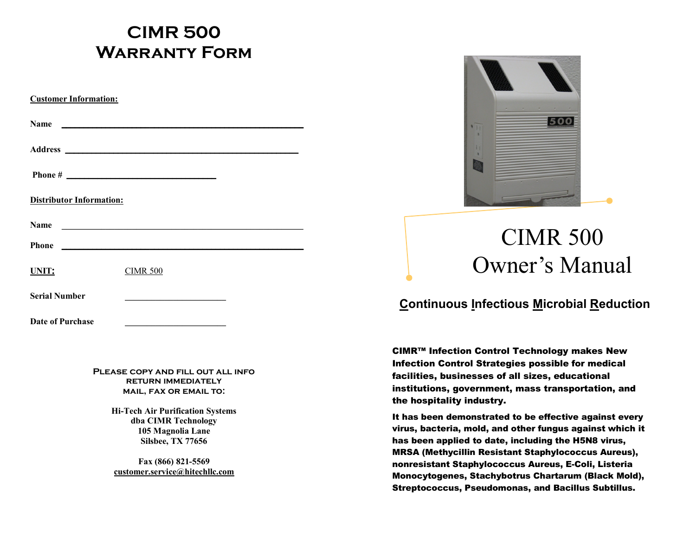# **CIMR 500 Warranty Form**

| <b>Customer Information:</b>    |                                                      |  |
|---------------------------------|------------------------------------------------------|--|
| Name                            |                                                      |  |
|                                 |                                                      |  |
|                                 |                                                      |  |
| <b>Distributor Information:</b> |                                                      |  |
| <b>Name</b>                     | <u> 1980 - Jan Barnett, fransk politik (d. 1980)</u> |  |
| <b>Phone</b>                    | <u> 1989 - Johann John Stone, mars et al. (</u>      |  |
| UNIT:                           | <b>CIMR 500</b>                                      |  |
| <b>Serial Number</b>            |                                                      |  |
| Date of Purchase                |                                                      |  |

**Please copy and fill out all info return immediately mail, fax or email to:**

> **Hi-Tech Air Purification Systems dba CIMR Technology 105 Magnolia Lane Silsbee, TX 77656**

**Fax (866) 821-5569 [customer.service@hitechllc.com](mailto:customer.service@hitechllc.com)**



# CIMR 500 Owner's Manual

#### **Continuous Infectious Microbial Reduction**

CIMR™ Infection Control Technology makes New Infection Control Strategies possible for medical facilities, businesses of all sizes, educational institutions, government, mass transportation, and the hospitality industry.

It has been demonstrated to be effective against every virus, bacteria, mold, and other fungus against which it has been applied to date, including the H5N8 virus, MRSA (Methycillin Resistant Staphylococcus Aureus), nonresistant Staphylococcus Aureus, E-Coli, Listeria Monocytogenes, Stachybotrus Chartarum (Black Mold), Streptococcus, Pseudomonas, and Bacillus Subtillus.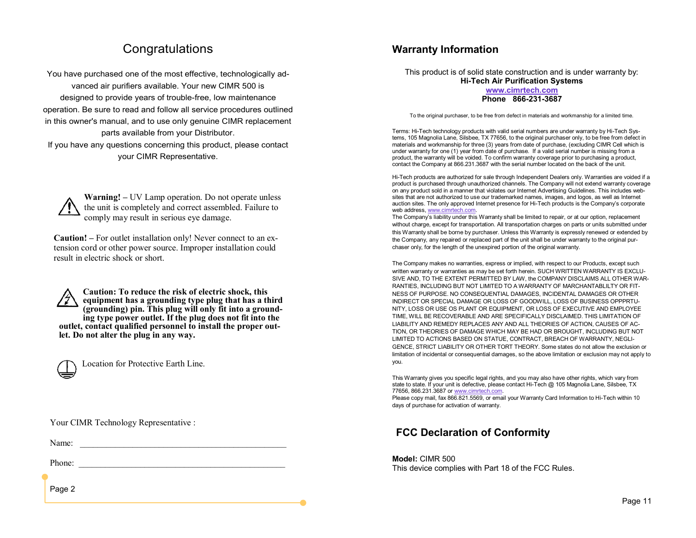### **Congratulations**

You have purchased one of the most effective, technologically advanced air purifiers available. Your new CIMR 500 is designed to provide years of trouble-free, low maintenance operation. Be sure to read and follow all service procedures outlined in this owner's manual, and to use only genuine CIMR replacement parts available from your Distributor.

If you have any questions concerning this product, please contact your CIMR Representative.

**Warning! –** UV Lamp operation. Do not operate unless the unit is completely and correct assembled. Failure to comply may result in serious eye damage.

**Caution! –** For outlet installation only! Never connect to an extension cord or other power source. Improper installation could result in electric shock or short.

**Caution: To reduce the risk of electric shock, this equipment has a grounding type plug that has a third (grounding) pin. This plug will only fit into a grounding type power outlet. If the plug does not fit into the outlet, contact qualified personnel to install the proper outlet. Do not alter the plug in any way.**



Location for Protective Earth Line.

Your CIMR Technology Representative :

Name: \_\_\_\_\_\_\_\_\_\_\_\_\_\_\_\_\_\_\_\_\_\_\_\_\_\_\_\_\_\_\_\_\_\_\_\_\_\_\_\_\_\_\_\_\_\_\_

Phone:

Page 2

#### **Warranty Information**

This product is of solid state construction and is under warranty by: **Hi-Tech Air Purification Systems**

#### **[www.cimrtech.com](http://www.cimrtech.com) Phone 866-231-3687**

To the original purchaser, to be free from defect in materials and workmanship for a limited time.

Terms: Hi-Tech technology products with valid serial numbers are under warranty by Hi-Tech Systems, 105 Magnolia Lane, Silsbee, TX 77656, to the original purchaser only, to be free from defect in materials and workmanship for three (3) years from date of purchase, (excluding CIMR Cell which is under warranty for one (1) year from date of purchase. If a valid serial number is missing from a product, the warranty will be voided. To confirm warranty coverage prior to purchasing a product, contact the Company at 866.231.3687 with the serial number located on the back of the unit.

Hi-Tech products are authorized for sale through Independent Dealers only. Warranties are voided if a product is purchased through unauthorized channels. The Company will not extend warranty coverage on any product sold in a manner that violates our Internet Advertising Guidelines. This includes websites that are not authorized to use our trademarked names, images, and logos, as well as Internet auction sites. The only approved Internet presence for Hi-Tech products is the Company's corporate web address, [www.cimrtech.com.](http://www.cimrtech.com)

The Company's liability under this Warranty shall be limited to repair, or at our option, replacement without charge, except for transportation. All transportation charges on parts or units submitted under this Warranty shall be borne by purchaser. Unless this Warranty is expressly renewed or extended by the Company, any repaired or replaced part of the unit shall be under warranty to the original purchaser only, for the length of the unexpired portion of the original warranty.

The Company makes no warranties, express or implied, with respect to our Products, except such written warranty or warranties as may be set forth herein. SUCH WRITTEN WARRANTY IS EXCLU-SIVE AND, TO THE EXTENT PERMITTED BY LAW, the COMPANY DISCLAIMS ALL OTHER WAR-RANTIES, INCLUDING BUT NOT LIMITED TO A WARRANTY OF MARCHANTABLILTY OR FIT-NESS OF PURPOSE. NO CONSEQUENTIAL DAMAGES, INCIDENTAL DAMAGES OR OTHER INDIRECT OR SPECIAL DAMAGE OR LOSS OF GOODWILL, LOSS OF BUSINESS OPPPRTU-NITY, LOSS OR USE OS PLANT OR EQUIPMENT, OR LOSS OF EXECUTIVE AND EMPLOYEE TIME, WILL BE RECOVERABLE AND ARE SPECIFICALLY DISCLAIMED. THIS LIMITATION OF LIABILITY AND REMEDY REPLACES ANY AND ALL THEORIES OF ACTION, CAUSES OF AC-TION, OR THEORIES OF DAMAGE WHICH MAY BE HAD OR BROUGHT, INCLUDING BUT NOT LIMITED TO ACTIONS BASED ON STATUE, CONTRACT, BREACH OF WARRANTY, NEGLI-GENCE, STRICT LIABILITY OR OTHER TORT THEORY. Some states do not allow the exclusion or limitation of incidental or consequential damages, so the above limitation or exclusion may not apply to you.

This Warranty gives you specific legal rights, and you may also have other rights, which vary from state to state. If your unit is defective, please contact Hi-Tech @ 105 Magnolia Lane, Silsbee, TX 77656, 866.231.3687 or [www.cimrtech.com.](http://www.cimrtech.com)

Please copy mail, fax 866.821.5569, or email your Warranty Card Information to Hi-Tech within 10 days of purchase for activation of warranty.

#### **FCC Declaration of Conformity**

**Model:** CIMR 500

This device complies with Part 18 of the FCC Rules.

Page 11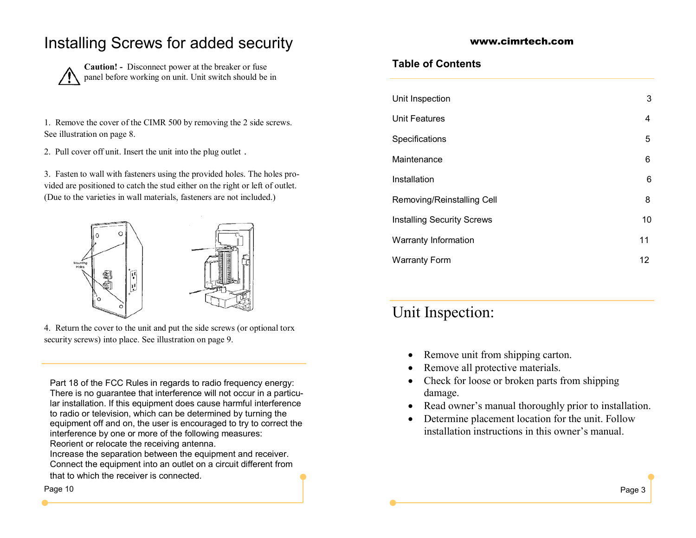### Installing Screws for added security

**Caution! -** Disconnect power at the breaker or fuse panel before working on unit. Unit switch should be in

1. Remove the cover of the CIMR 500 by removing the 2 side screws. See illustration on page 8.

2. Pull cover off unit. Insert the unit into the plug outlet .

3. Fasten to wall with fasteners using the provided holes. The holes provided are positioned to catch the stud either on the right or left of outlet. (Due to the varieties in wall materials, fasteners are not included.)



4. Return the cover to the unit and put the side screws (or optional torx security screws) into place. See illustration on page 9.

Part 18 of the FCC Rules in regards to radio frequency energy: There is no guarantee that interference will not occur in a particular installation. If this equipment does cause harmful interference to radio or television, which can be determined by turning the equipment off and on, the user is encouraged to try to correct the interference by one or more of the following measures: Reorient or relocate the receiving antenna.

Increase the separation between the equipment and receiver. Connect the equipment into an outlet on a circuit different from that to which the receiver is connected.

www.cimrtech.com

#### **Table of Contents**

| Unit Inspection                   | 3  |
|-----------------------------------|----|
| <b>Unit Features</b>              | 4  |
| Specifications                    | 5  |
| Maintenance                       | 6  |
| Installation                      | 6  |
| Removing/Reinstalling Cell        | 8  |
| <b>Installing Security Screws</b> | 10 |
| Warranty Information              | 11 |
| <b>Warranty Form</b>              | 12 |
|                                   |    |

### Unit Inspection:

- Remove unit from shipping carton.
- Remove all protective materials.
- Check for loose or broken parts from shipping damage.
- Read owner's manual thoroughly prior to installation.
- Determine placement location for the unit. Follow installation instructions in this owner's manual.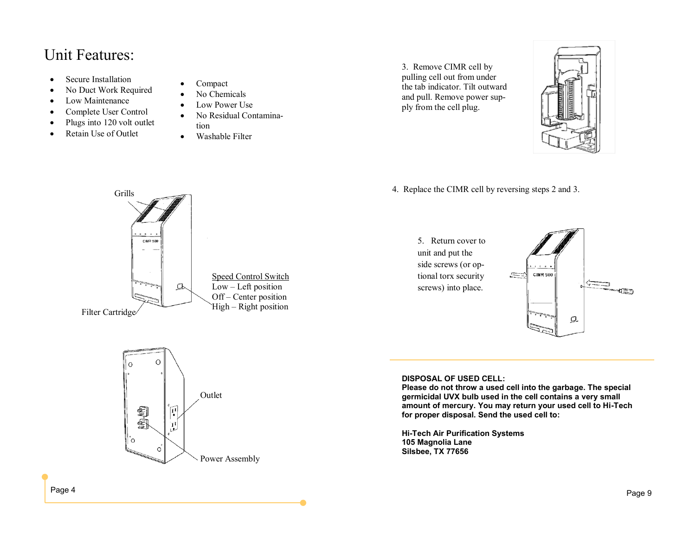### Unit Features:

- Secure Installation
- No Duct Work Required
- Low Maintenance
- Complete User Control
- Plugs into 120 volt outlet
- Retain Use of Outlet
- Compact
- No Chemicals
- Low Power Use
- No Residual Contamination
- Washable Filter

3. Remove CIMR cell by pulling cell out from under the tab indicator. Tilt outward and pull. Remove power supply from the cell plug.



4. Replace the CIMR cell by reversing steps 2 and 3.



Outlet

匣

IJ

 $\circ$ 

劇劇

 $\circ$ 

Power Assembly





**DISPOSAL OF USED CELL:**

**Please do not throw a used cell into the garbage. The special germicidal UVX bulb used in the cell contains a very small amount of mercury. You may return your used cell to Hi-Tech for proper disposal. Send the used cell to:**

**Hi-Tech Air Purification Systems 105 Magnolia Lane Silsbee, TX 77656**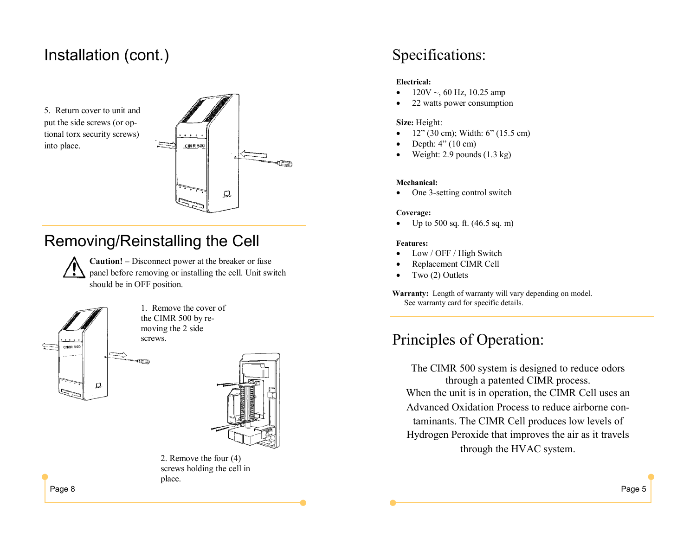### Installation (cont.)

5. Return cover to unit and put the side screws (or optional torx security screws) into place.



# Removing/Reinstalling the Cell

œ

**Caution! –** Disconnect power at the breaker or fuse panel before removing or installing the cell. Unit switch should be in OFF position.



1. Remove the cover of the CIMR 500 by removing the 2 side screws.



2. Remove the four (4) screws holding the cell in place.

## Specifications:

#### **Electrical:**

- $120V \sim 60$  Hz, 10.25 amp
- 22 watts power consumption

#### **Size:** Height:

- 12" (30 cm); Width: 6" (15.5 cm)
- Depth: 4" (10 cm)
- Weight: 2.9 pounds (1.3 kg)

#### **Mechanical:**

One 3-setting control switch

#### **Coverage:**

• Up to 500 sq. ft.  $(46.5 \text{ sq. m})$ 

#### **Features:**

- Low / OFF / High Switch
- Replacement CIMR Cell
- Two (2) Outlets

**Warranty:** Length of warranty will vary depending on model. See warranty card for specific details.

## Principles of Operation:

The CIMR 500 system is designed to reduce odors through a patented CIMR process. When the unit is in operation, the CIMR Cell uses an Advanced Oxidation Process to reduce airborne contaminants. The CIMR Cell produces low levels of Hydrogen Peroxide that improves the air as it travels through the HVAC system.